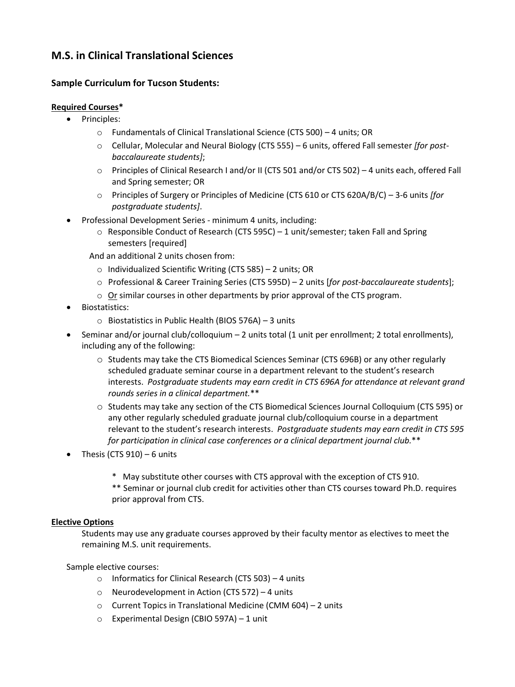## **M.S. in Clinical Translational Sciences**

## **Sample Curriculum for Tucson Students:**

## **Required Courses\***

- Principles:
	- o Fundamentals of Clinical Translational Science (CTS 500) 4 units; OR
	- o Cellular, Molecular and Neural Biology (CTS 555) 6 units, offered Fall semester *[for postbaccalaureate students]*;
	- o Principles of Clinical Research I and/or II (CTS 501 and/or CTS 502) 4 units each, offered Fall and Spring semester; OR
	- o Principles of Surgery or Principles of Medicine (CTS 610 or CTS 620A/B/C) 3-6 units *[for postgraduate students]*.
- Professional Development Series minimum 4 units, including:
	- $\circ$  Responsible Conduct of Research (CTS 595C) 1 unit/semester; taken Fall and Spring semesters [required]
	- And an additional 2 units chosen from:
		- o Individualized Scientific Writing (CTS 585) 2 units; OR
		- o Professional & Career Training Series (CTS 595D) 2 units [*for post-baccalaureate students*];
		- o Or similar courses in other departments by prior approval of the CTS program.
- Biostatistics:
	- o Biostatistics in Public Health (BIOS 576A) 3 units
- Seminar and/or journal club/colloquium 2 units total (1 unit per enrollment; 2 total enrollments), including any of the following:
	- o Students may take the CTS Biomedical Sciences Seminar (CTS 696B) or any other regularly scheduled graduate seminar course in a department relevant to the student's research interests. *Postgraduate students may earn credit in CTS 696A for attendance at relevant grand rounds series in a clinical department.*\*\*
	- o Students may take any section of the CTS Biomedical Sciences Journal Colloquium (CTS 595) or any other regularly scheduled graduate journal club/colloquium course in a department relevant to the student's research interests. *Postgraduate students may earn credit in CTS 595 for participation in clinical case conferences or a clinical department journal club.*\*\*
- Thesis (CTS 910) 6 units
	- \* May substitute other courses with CTS approval with the exception of CTS 910. \*\* Seminar or journal club credit for activities other than CTS courses toward Ph.D. requires prior approval from CTS.

## **Elective Options**

Students may use any graduate courses approved by their faculty mentor as electives to meet the remaining M.S. unit requirements.

Sample elective courses:

- o Informatics for Clinical Research (CTS 503) 4 units
- o Neurodevelopment in Action (CTS 572) 4 units
- o Current Topics in Translational Medicine (CMM 604) 2 units
- o Experimental Design (CBIO 597A) 1 unit